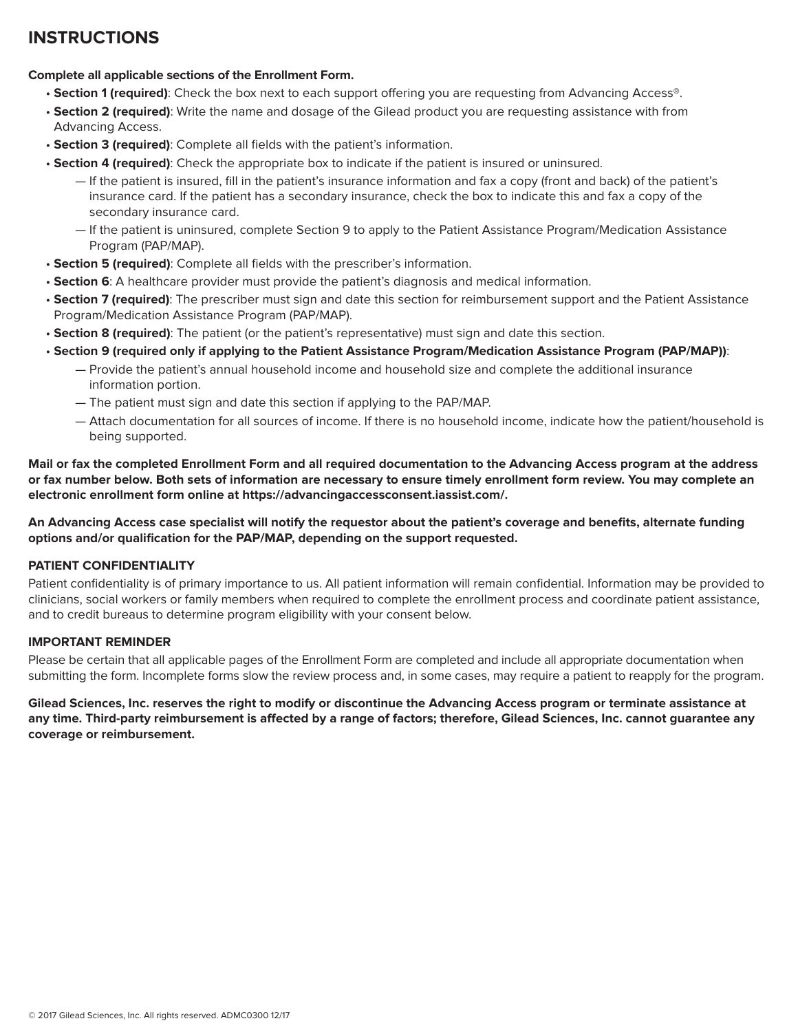## **INSTRUCTIONS**

## **Complete all applicable sections of the Enrollment Form.**

- **Section 1 (required)**: Check the box next to each support offering you are requesting from Advancing Access®.
- **Section 2 (required)**: Write the name and dosage of the Gilead product you are requesting assistance with from Advancing Access.
- **Section 3 (required)**: Complete all fields with the patient's information.
- **Section 4 (required)**: Check the appropriate box to indicate if the patient is insured or uninsured.
	- If the patient is insured, fill in the patient's insurance information and fax a copy (front and back) of the patient's insurance card. If the patient has a secondary insurance, check the box to indicate this and fax a copy of the secondary insurance card.
	- If the patient is uninsured, complete Section 9 to apply to the Patient Assistance Program/Medication Assistance Program (PAP/MAP).
- **Section 5 (required)**: Complete all fields with the prescriber's information.
- **Section 6**: A healthcare provider must provide the patient's diagnosis and medical information.
- **Section 7 (required)**: The prescriber must sign and date this section for reimbursement support and the Patient Assistance Program/Medication Assistance Program (PAP/MAP).
- **Section 8 (required)**: The patient (or the patient's representative) must sign and date this section.
- **Section 9 (required only if applying to the Patient Assistance Program/Medication Assistance Program (PAP/MAP))**:
	- Provide the patient's annual household income and household size and complete the additional insurance information portion.
	- The patient must sign and date this section if applying to the PAP/MAP.
	- Attach documentation for all sources of income. If there is no household income, indicate how the patient/household is being supported.

**Mail or fax the completed Enrollment Form and all required documentation to the Advancing Access program at the address or fax number below. Both sets of information are necessary to ensure timely enrollment form review. You may complete an electronic enrollment form online at https://advancingaccessconsent.iassist.com/.**

**An Advancing Access case specialist will notify the requestor about the patient's coverage and benefits, alternate funding options and/or qualification for the PAP/MAP, depending on the support requested.**

## **PATIENT CONFIDENTIALITY**

Patient confidentiality is of primary importance to us. All patient information will remain confidential. Information may be provided to clinicians, social workers or family members when required to complete the enrollment process and coordinate patient assistance, and to credit bureaus to determine program eligibility with your consent below.

## **IMPORTANT REMINDER**

Please be certain that all applicable pages of the Enrollment Form are completed and include all appropriate documentation when submitting the form. Incomplete forms slow the review process and, in some cases, may require a patient to reapply for the program.

**Gilead Sciences, Inc. reserves the right to modify or discontinue the Advancing Access program or terminate assistance at any time. Third-party reimbursement is affected by a range of factors; therefore, Gilead Sciences, Inc. cannot guarantee any coverage or reimbursement.**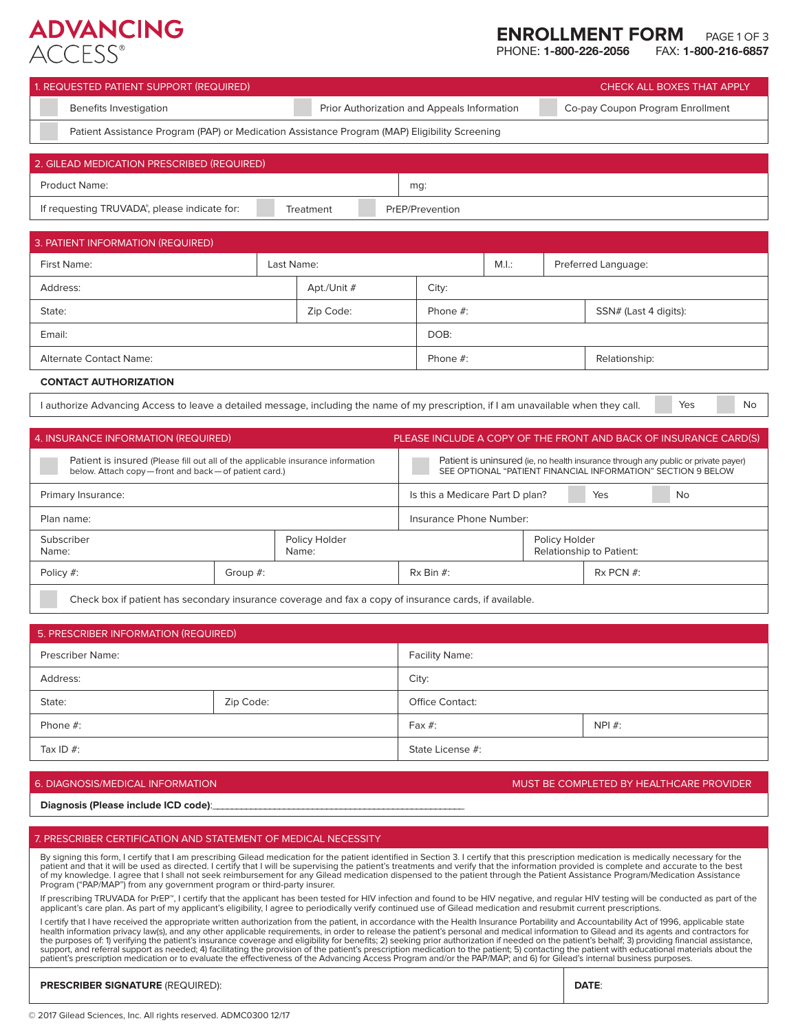## **ADVANCING**  $ACCFSS^e$

# **ENROLLMENT FORM** PAGE 1 OF 3<br>PHONE: **1-800-226-2056** FAX: **1-800-216-6857**

**PHONE: 1-800-226-2056** 

| 1. REQUESTED PATIENT SUPPORT (REQUIRED)                                                       |            |                                             |                 |       | CHECK ALL BOXES THAT APPLY       |
|-----------------------------------------------------------------------------------------------|------------|---------------------------------------------|-----------------|-------|----------------------------------|
| Benefits Investigation                                                                        |            | Prior Authorization and Appeals Information |                 |       | Co-pay Coupon Program Enrollment |
| Patient Assistance Program (PAP) or Medication Assistance Program (MAP) Eligibility Screening |            |                                             |                 |       |                                  |
| 2. GILEAD MEDICATION PRESCRIBED (REQUIRED)                                                    |            |                                             |                 |       |                                  |
| <b>Product Name:</b>                                                                          |            |                                             | mg:             |       |                                  |
| If requesting TRUVADA®, please indicate for:                                                  |            | Treatment                                   | PrEP/Prevention |       |                                  |
|                                                                                               |            |                                             |                 |       |                                  |
| 3. PATIENT INFORMATION (REQUIRED)                                                             |            |                                             |                 |       |                                  |
| First Name:                                                                                   | Last Name: |                                             |                 | M.I.: | Preferred Language:              |
| Address:                                                                                      |            | Apt./Unit #                                 | City:           |       |                                  |
| State:                                                                                        |            | Zip Code:                                   | Phone $#$ :     |       | SSN# (Last 4 digits):            |

| <b>CONTACT AUTHORIZATION</b> |
|------------------------------|
|                              |

I authorize Advancing Access to leave a detailed message, including the name of my prescription, if I am unavailable when they call.

Alternate Contact Name: Name: Phone #: Phone #: Phone #: Phone #: Relationship:

Yes No

| 4. INSURANCE INFORMATION (REQUIRED)                                                                                                    |             |                        | PLEASE INCLUDE A COPY OF THE FRONT AND BACK OF INSURANCE CARD(S)                                                                                   |               |                          |    |  |
|----------------------------------------------------------------------------------------------------------------------------------------|-------------|------------------------|----------------------------------------------------------------------------------------------------------------------------------------------------|---------------|--------------------------|----|--|
| Patient is insured (Please fill out all of the applicable insurance information<br>below. Attach copy-front and back-of patient card.) |             |                        | Patient is uninsured (ie, no health insurance through any public or private payer)<br>SEE OPTIONAL "PATIENT FINANCIAL INFORMATION" SECTION 9 BELOW |               |                          |    |  |
| Primary Insurance:                                                                                                                     |             |                        | Is this a Medicare Part D plan?                                                                                                                    |               | Yes                      | No |  |
| Plan name:                                                                                                                             |             |                        | Insurance Phone Number:                                                                                                                            |               |                          |    |  |
| Subscriber<br>Name:                                                                                                                    |             | Policy Holder<br>Name: |                                                                                                                                                    | Policy Holder | Relationship to Patient: |    |  |
| Policy #:                                                                                                                              | Group $#$ : |                        | $Rx \text{Bin } #:$                                                                                                                                |               | $Rx$ PCN $#$ :           |    |  |
|                                                                                                                                        |             |                        |                                                                                                                                                    |               |                          |    |  |

Check box if patient has secondary insurance coverage and fax a copy of insurance cards, if available.

Email: DOB:

| 5. PRESCRIBER INFORMATION (REQUIRED) |                              |                       |            |  |  |
|--------------------------------------|------------------------------|-----------------------|------------|--|--|
| <b>Prescriber Name:</b>              |                              | <b>Facility Name:</b> |            |  |  |
| Address:                             |                              | City:                 |            |  |  |
| State:                               | Zip Code:<br>Office Contact: |                       |            |  |  |
| Phone $#$ :                          |                              | Fax $#$ :             | $NPI \#$ : |  |  |
| Tax ID $#$ :                         |                              | State License #:      |            |  |  |

### 6. DIAGNOSIS/MEDICAL INFORMATION **MUST BE COMPLETED BY HEALTHCARE PROVIDER**

### Diagnosis (Please include ICD code):

## 7. PRESCRIBER CERTIFICATION AND STATEMENT OF MEDICAL NECESSITY

By signing this form, I certify that I am prescribing Gilead medication for the patient identified in Section 3. I certify that this prescription medication is medically necessary for the patient and that it will be used as directed. I certify that I will be supervising the patient's treatments and verify that the information provided is complete and accurate to the best of my knowledge. I agree that I shall not seek reimbursement for any Gilead medication dispensed to the patient through the Patient Assistance Program/Medication Assistance<br>Program ("PAP/MAP") from any government program o

If prescribing TRUVADA for PrEP™, I certify that the applicant has been tested for HIV infection and found to be HIV negative, and regular HIV testing will be conducted as part of the applicant's care plan. As part of my applicant's eligibility, I agree to periodically verify continued use of Gilead medication and resubmit current prescriptions.

I certify that I have received the appropriate written authorization from the patient, in accordance with the Health Insurance Portability and Accountability Act of 1996, applicable state health information privacy law(s), and any other applicable requirements, in order to release the patient's personal and medical information to Gilead and its agents and contractors for<br>the purposes of: 1) verifying the pa

## **PRESCRIBER SIGNATURE** (REQUIRED): **DATE**: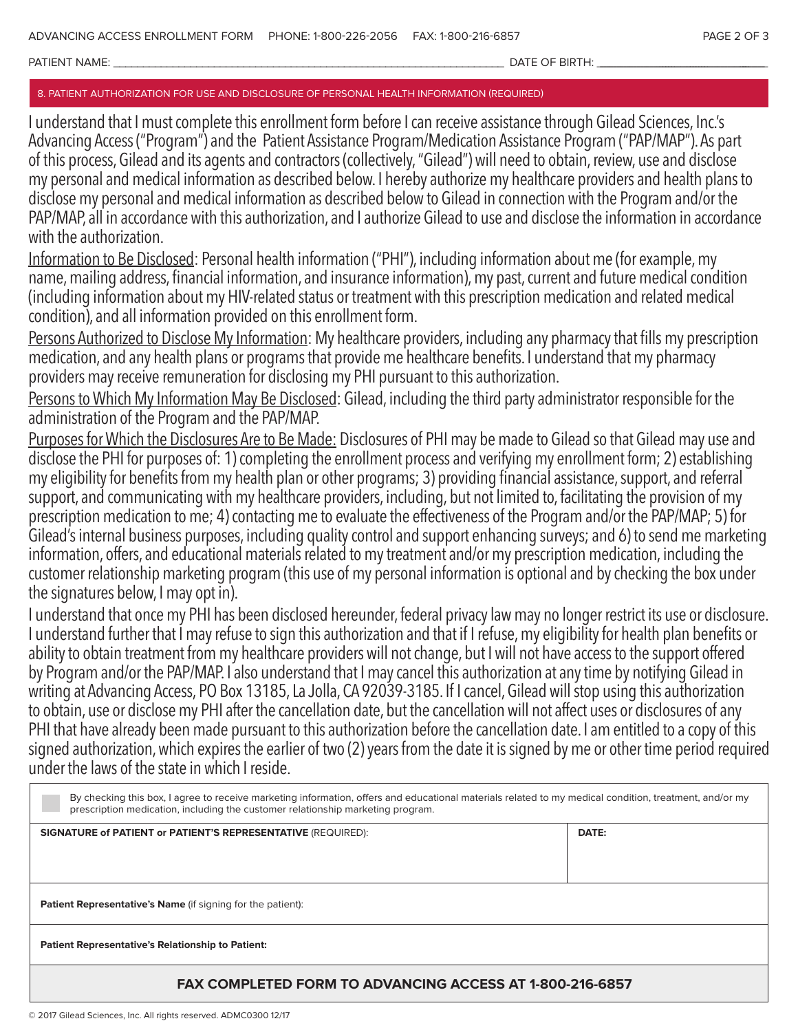PATIENT NAME: \_\_\_\_\_\_\_\_\_\_\_\_\_\_\_\_\_\_\_\_\_\_\_\_\_\_\_\_\_\_\_\_\_\_\_\_\_\_\_\_\_\_\_\_\_\_\_\_\_\_\_\_\_\_\_\_\_\_\_\_\_\_\_\_\_\_ DATE OF BIRTH: \_\_\_\_\_\_\_\_\_\_\_\_\_\_\_\_\_\_\_\_\_\_\_\_\_\_ \_\_\_\_\_\_\_\_\_\_\_\_\_\_\_\_\_\_\_\_\_\_\_\_\_\_\_

## 8. PATIENT AUTHORIZATION FOR USE AND DISCLOSURE OF PERSONAL HEALTH INFORMATION (REQUIRED)

I understand that I must complete this enrollment form before I can receive assistance through Gilead Sciences, Inc.'s Advancing Access ("Program") and the Patient Assistance Program/Medication Assistance Program ("PAP/MAP"). As part of this process, Gilead and its agents and contractors (collectively, "Gilead") will need to obtain, review, use and disclose my personal and medical information as described below. I hereby authorize my healthcare providers and health plans to disclose my personal and medical information as described below to Gilead in connection with the Program and/or the PAP/MAP, all in accordance with this authorization, and I authorize Gilead to use and disclose the information in accordance with the authorization.

Information to Be Disclosed: Personal health information ("PHI"), including information about me (for example, my name, mailing address, financial information, and insurance information), my past, current and future medical condition (including information about my HIV-related status or treatment with this prescription medication and related medical condition), and all information provided on this enrollment form.

Persons Authorized to Disclose My Information: My healthcare providers, including any pharmacy that fills my prescription medication, and any health plans or programs that provide me healthcare benefits. I understand that my pharmacy providers may receive remuneration for disclosing my PHI pursuant to this authorization.

Persons to Which My Information May Be Disclosed: Gilead, including the third party administrator responsible for the administration of the Program and the PAP/MAP.

Purposes for Which the Disclosures Are to Be Made: Disclosures of PHI may be made to Gilead so that Gilead may use and disclose the PHI for purposes of: 1) completing the enrollment process and verifying my enrollment form; 2) establishing my eligibility for benefits from my health plan or other programs; 3) providing financial assistance, support, and referral support, and communicating with my healthcare providers, including, but not limited to, facilitating the provision of my prescription medication to me; 4) contacting me to evaluate the effectiveness of the Program and/or the PAP/MAP; 5) for Gilead's internal business purposes, including quality control and support enhancing surveys; and 6) to send me marketing information, offers, and educational materials related to my treatment and/or my prescription medication, including the customer relationship marketing program (this use of my personal information is optional and by checking the box under the signatures below, I may opt in).

I understand that once my PHI has been disclosed hereunder, federal privacy law may no longer restrict its use or disclosure. I understand further that I may refuse to sign this authorization and that if I refuse, my eligibility for health plan benefits or ability to obtain treatment from my healthcare providers will not change, but I will not have access to the support offered by Program and/or the PAP/MAP. I also understand that I may cancel this authorization at any time by notifying Gilead in writing at Advancing Access, PO Box 13185, La Jolla, CA 92039-3185. If I cancel, Gilead will stop using this authorization to obtain, use or disclose my PHI after the cancellation date, but the cancellation will not affect uses or disclosures of any PHI that have already been made pursuant to this authorization before the cancellation date. I am entitled to a copy of this signed authorization, which expires the earlier of two (2) years from the date it is signed by me or other time period required under the laws of the state in which I reside.

| By checking this box, I agree to receive marketing information, offers and educational materials related to my medical condition, treatment, and/or my<br>prescription medication, including the customer relationship marketing program. |       |  |  |  |  |  |  |
|-------------------------------------------------------------------------------------------------------------------------------------------------------------------------------------------------------------------------------------------|-------|--|--|--|--|--|--|
| <b>SIGNATURE of PATIENT or PATIENT'S REPRESENTATIVE (REQUIRED):</b>                                                                                                                                                                       | DATE: |  |  |  |  |  |  |
|                                                                                                                                                                                                                                           |       |  |  |  |  |  |  |
| <b>Patient Representative's Name (if signing for the patient):</b>                                                                                                                                                                        |       |  |  |  |  |  |  |
| <b>Patient Representative's Relationship to Patient:</b>                                                                                                                                                                                  |       |  |  |  |  |  |  |
| FAX COMPLETED FORM TO ADVANCING ACCESS AT 1-800-216-6857                                                                                                                                                                                  |       |  |  |  |  |  |  |